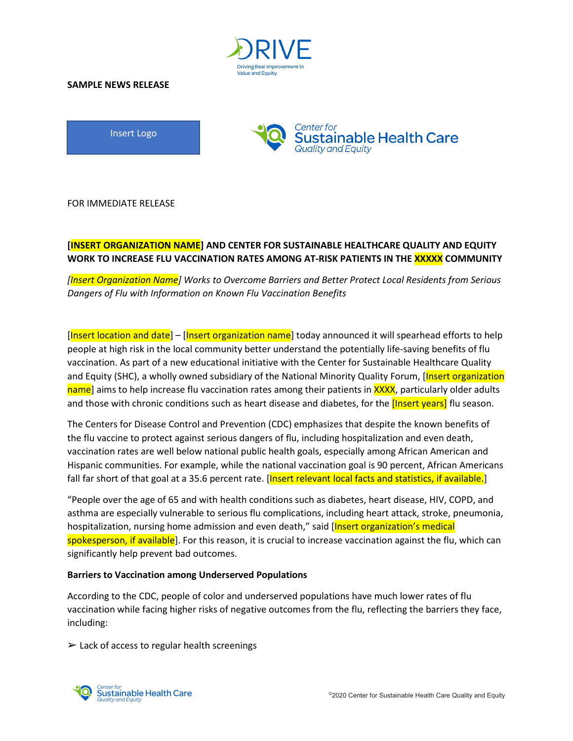

#### **SAMPLE NEWS RELEASE**

Insert Logo



FOR IMMEDIATE RELEASE

# **[INSERT ORGANIZATION NAME] AND CENTER FOR SUSTAINABLE HEALTHCARE QUALITY AND EQUITY WORK TO INCREASE FLU VACCINATION RATES AMONG AT-RISK PATIENTS IN THE XXXXX COMMUNITY**

*[Insert Organization Name] Works to Overcome Barriers and Better Protect Local Residents from Serious Dangers of Flu with Information on Known Flu Vaccination Benefits* 

[Insert location and date] – [Insert organization name] today announced it will spearhead efforts to help people at high risk in the local community better understand the potentially life-saving benefits of flu vaccination. As part of a new educational initiative with the Center for Sustainable Healthcare Quality and Equity (SHC), a wholly owned subsidiary of the National Minority Quality Forum, [Insert organization] name] aims to help increase flu vaccination rates among their patients in XXXX, particularly older adults and those with chronic conditions such as heart disease and diabetes, for the **[Insert years]** flu season.

The Centers for Disease Control and Prevention (CDC) emphasizes that despite the known benefits of the flu vaccine to protect against serious dangers of flu, including hospitalization and even death, vaccination rates are well below national public health goals, especially among African American and Hispanic communities. For example, while the national vaccination goal is 90 percent, African Americans fall far short of that goal at a 35.6 percent rate. [Insert relevant local facts and statistics, if available.]

"People over the age of 65 and with health conditions such as diabetes, heart disease, HIV, COPD, and asthma are especially vulnerable to serious flu complications, including heart attack, stroke, pneumonia, hospitalization, nursing home admission and even death," said [Insert organization's medical spokesperson, if available]. For this reason, it is crucial to increase vaccination against the flu, which can significantly help prevent bad outcomes.

## **Barriers to Vaccination among Underserved Populations**

According to the CDC, people of color and underserved populations have much lower rates of flu vaccination while facing higher risks of negative outcomes from the flu, reflecting the barriers they face, including:

 $\geq$  Lack of access to regular health screenings

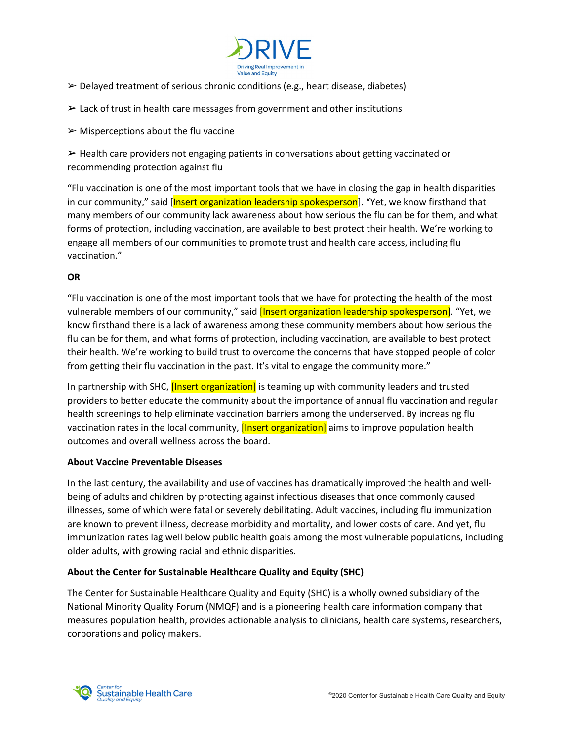

- $\triangleright$  Delayed treatment of serious chronic conditions (e.g., heart disease, diabetes)
- $\geq$  Lack of trust in health care messages from government and other institutions
- $\triangleright$  Misperceptions about the flu vaccine

➢ Health care providers not engaging patients in conversations about getting vaccinated or recommending protection against flu

"Flu vaccination is one of the most important tools that we have in closing the gap in health disparities in our community," said [Insert organization leadership spokesperson]. "Yet, we know firsthand that many members of our community lack awareness about how serious the flu can be for them, and what forms of protection, including vaccination, are available to best protect their health. We're working to engage all members of our communities to promote trust and health care access, including flu vaccination."

## **OR**

"Flu vaccination is one of the most important tools that we have for protecting the health of the most vulnerable members of our community," said *[Insert organization leadership spokesperson]*. "Yet, we know firsthand there is a lack of awareness among these community members about how serious the flu can be for them, and what forms of protection, including vaccination, are available to best protect their health. We're working to build trust to overcome the concerns that have stopped people of color from getting their flu vaccination in the past. It's vital to engage the community more."

In partnership with SHC, *[Insert organization]* is teaming up with community leaders and trusted providers to better educate the community about the importance of annual flu vaccination and regular health screenings to help eliminate vaccination barriers among the underserved. By increasing flu vaccination rates in the local community, [Insert organization] aims to improve population health outcomes and overall wellness across the board.

## **About Vaccine Preventable Diseases**

In the last century, the availability and use of vaccines has dramatically improved the health and wellbeing of adults and children by protecting against infectious diseases that once commonly caused illnesses, some of which were fatal or severely debilitating. Adult vaccines, including flu immunization are known to prevent illness, decrease morbidity and mortality, and lower costs of care. And yet, flu immunization rates lag well below public health goals among the most vulnerable populations, including older adults, with growing racial and ethnic disparities.

## **About the Center for Sustainable Healthcare Quality and Equity (SHC)**

The Center for Sustainable Healthcare Quality and Equity (SHC) is a wholly owned subsidiary of the National Minority Quality Forum (NMQF) and is a pioneering health care information company that measures population health, provides actionable analysis to clinicians, health care systems, researchers, corporations and policy makers.